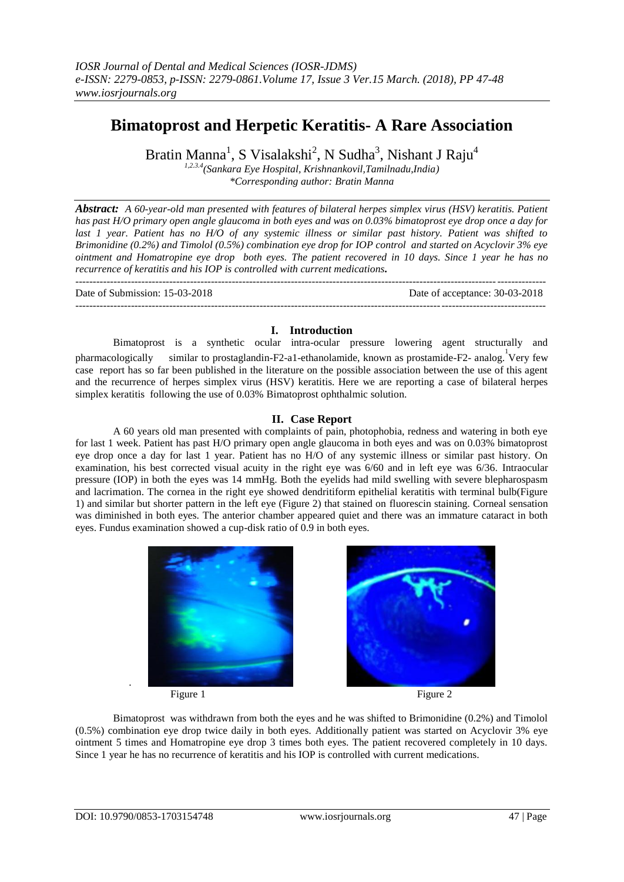# **Bimatoprost and Herpetic Keratitis- A Rare Association**

Bratin Manna<sup>1</sup>, S Visalakshi<sup>2</sup>, N Sudha<sup>3</sup>, Nishant J Raju<sup>4</sup>

*1,2.3.4(Sankara Eye Hospital, Krishnankovil,Tamilnadu,India) \*Corresponding author: Bratin Manna*

*Abstract: A 60-year-old man presented with features of bilateral herpes simplex virus (HSV) keratitis. Patient has past H/O primary open angle glaucoma in both eyes and was on 0.03% bimatoprost eye drop once a day for last 1 year. Patient has no H/O of any systemic illness or similar past history. Patient was shifted to Brimonidine (0.2%) and Timolol (0.5%) combination eye drop for IOP control and started on Acyclovir 3% eye ointment and Homatropine eye drop both eyes. The patient recovered in 10 days. Since 1 year he has no recurrence of keratitis and his IOP is controlled with current medications.*

--------------------------------------------------------------------------------------------------------------------------------------- Date of Submission: 15-03-2018 Date of acceptance: 30-03-2018  $-1-\frac{1}{2}$ 

## **I. Introduction**

Bimatoprost is a synthetic ocular intra-ocular pressure lowering agent structurally and pharmacologically similar to prostaglandin-F2-a1-ethanolamide, known as prostamide-F2- analog. 1 Very few case report has so far been published in the literature on the possible association between the use of this agent and the recurrence of herpes simplex virus (HSV) keratitis. Here we are reporting a case of bilateral herpes simplex keratitis following the use of 0.03% Bimatoprost ophthalmic solution.

## **II. Case Report**

A 60 years old man presented with complaints of pain, photophobia, redness and watering in both eye for last 1 week. Patient has past H/O primary open angle glaucoma in both eyes and was on 0.03% bimatoprost eye drop once a day for last 1 year. Patient has no H/O of any systemic illness or similar past history. On examination, his best corrected visual acuity in the right eye was 6/60 and in left eye was 6/36. Intraocular pressure (IOP) in both the eyes was 14 mmHg. Both the eyelids had mild swelling with severe blepharospasm and lacrimation. The cornea in the right eye showed dendritiform epithelial keratitis with terminal bulb(Figure 1) and similar but shorter pattern in the left eye (Figure 2) that stained on fluorescin staining. Corneal sensation was diminished in both eyes. The anterior chamber appeared quiet and there was an immature cataract in both eyes. Fundus examination showed a cup-disk ratio of 0.9 in both eyes.



Figure 1 Figure 2

Bimatoprost was withdrawn from both the eyes and he was shifted to Brimonidine (0.2%) and Timolol (0.5%) combination eye drop twice daily in both eyes. Additionally patient was started on Acyclovir 3% eye ointment 5 times and Homatropine eye drop 3 times both eyes. The patient recovered completely in 10 days. Since 1 year he has no recurrence of keratitis and his IOP is controlled with current medications.

.